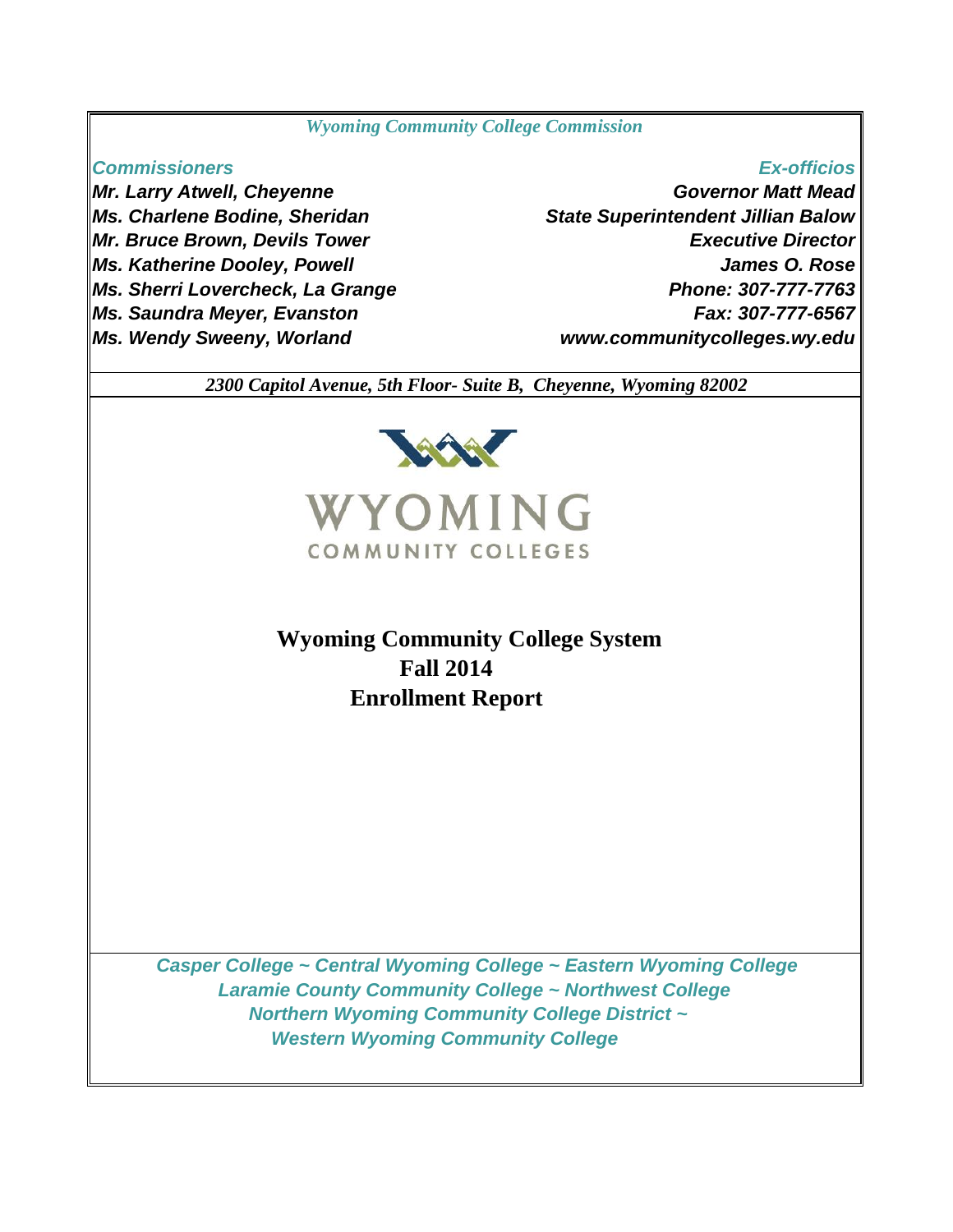#### *Wyoming Community College Commission*

#### *Commissioners*

*Mr. Larry Atwell, Cheyenne Ms. Charlene Bodine, Sheridan Mr. Bruce Brown, Devils Tower Ms. Katherine Dooley, Powell Ms. Sherri Lovercheck, La Grange Ms. Saundra Meyer, Evanston Ms. Wendy Sweeny, Worland*

### *Ex-officios*

*Governor Matt Mead Executive Director James O. Rose Phone: 307-777-7763 Fax: 307-777-6567 State Superintendent Jillian Balow www.communitycolleges.wy.edu*

 *2300 Capitol Avenue, 5th Floor- Suite B, Cheyenne, Wyoming 82002*



# **Wyoming Community College System Fall 2014 Enrollment Report**

 *Casper College ~ Central Wyoming College ~ Eastern Wyoming College Laramie County Community College ~ Northwest College Northern Wyoming Community College District ~ Western Wyoming Community College*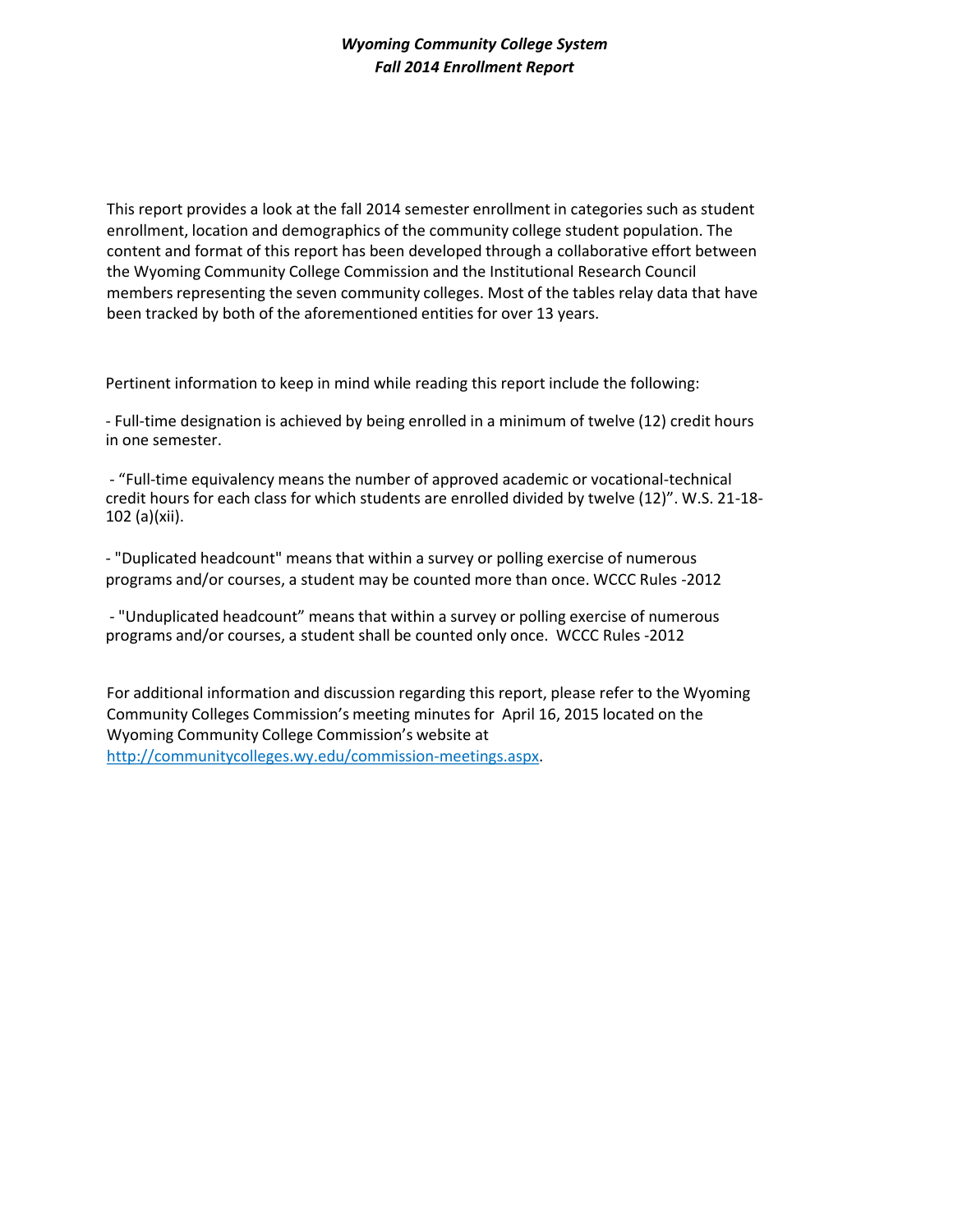This report provides a look at the fall 2014 semester enrollment in categories such as student enrollment, location and demographics of the community college student population. The content and format of this report has been developed through a collaborative effort between the Wyoming Community College Commission and the Institutional Research Council members representing the seven community colleges. Most of the tables relay data that have been tracked by both of the aforementioned entities for over 13 years.

Pertinent information to keep in mind while reading this report include the following:

- Full-time designation is achieved by being enrolled in a minimum of twelve (12) credit hours in one semester.

- "Full-time equivalency means the number of approved academic or vocational-technical credit hours for each class for which students are enrolled divided by twelve (12)". W.S. 21-18- 102 (a)(xii).

- "Duplicated headcount" means that within a survey or polling exercise of numerous programs and/or courses, a student may be counted more than once. WCCC Rules -2012

- "Unduplicated headcount" means that within a survey or polling exercise of numerous programs and/or courses, a student shall be counted only once. WCCC Rules -2012

For additional information and discussion regarding this report, please refer to the Wyoming Community Colleges Commission's meeting minutes for April 16, 2015 located on the Wyoming Community College Commission's website at http://communitycolleges.wy.edu/commission-meetings.aspx.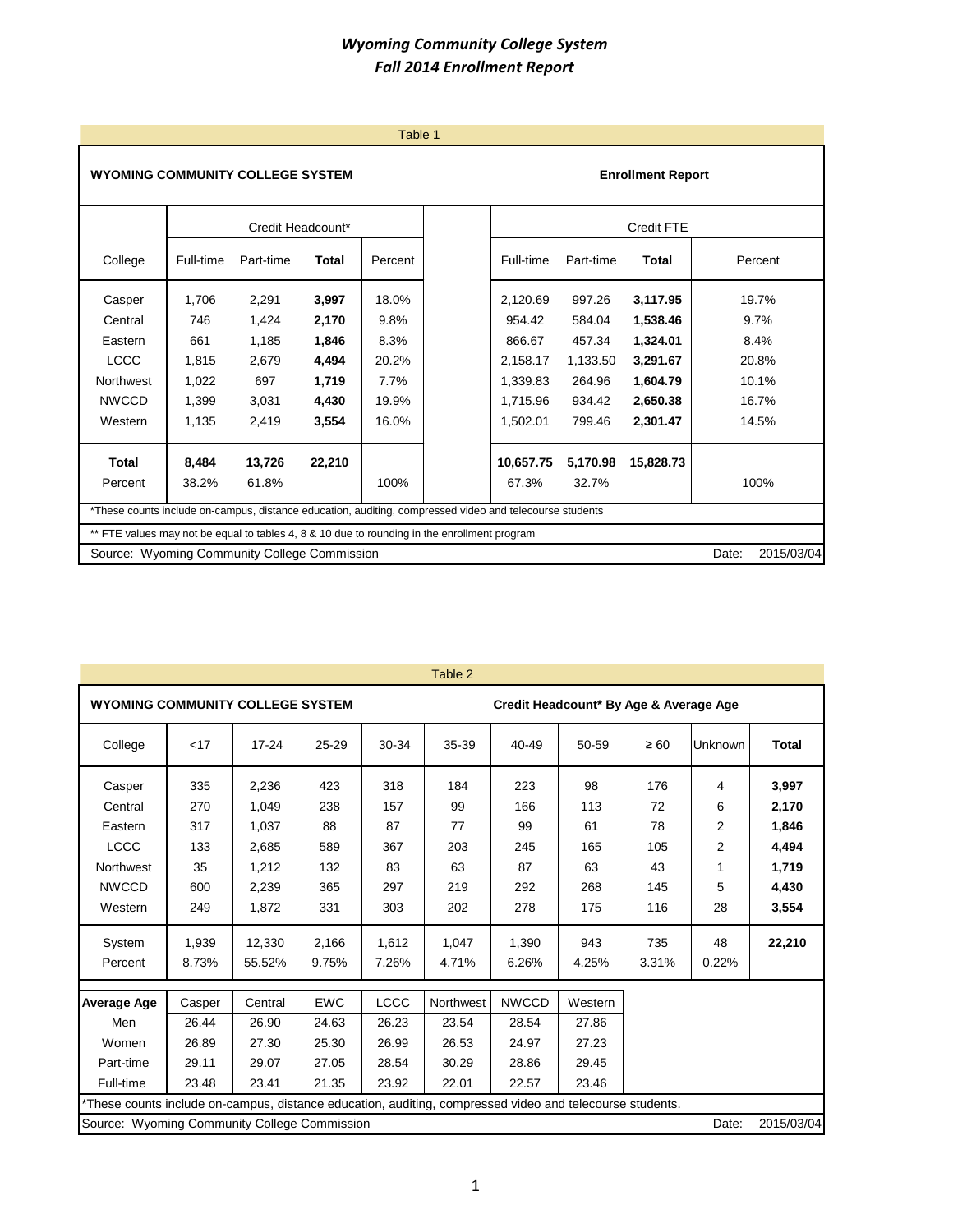|                                                                                                         |           |                   |        | Table 1 |           |           |                          |                     |
|---------------------------------------------------------------------------------------------------------|-----------|-------------------|--------|---------|-----------|-----------|--------------------------|---------------------|
| <b>WYOMING COMMUNITY COLLEGE SYSTEM</b>                                                                 |           |                   |        |         |           |           | <b>Enrollment Report</b> |                     |
|                                                                                                         |           | Credit Headcount* |        |         |           |           | <b>Credit FTE</b>        |                     |
| College                                                                                                 | Full-time | Part-time         | Total  | Percent | Full-time | Part-time | Total                    | Percent             |
| Casper                                                                                                  | 1,706     | 2,291             | 3,997  | 18.0%   | 2,120.69  | 997.26    | 3,117.95                 | 19.7%               |
| Central                                                                                                 | 746       | 1,424             | 2,170  | 9.8%    | 954.42    | 584.04    | 1,538.46                 | 9.7%                |
| Eastern                                                                                                 | 661       | 1,185             | 1,846  | 8.3%    | 866.67    | 457.34    | 1,324.01                 | 8.4%                |
| <b>LCCC</b>                                                                                             | 1.815     | 2,679             | 4,494  | 20.2%   | 2,158.17  | 1,133.50  | 3,291.67                 | 20.8%               |
| Northwest                                                                                               | 1,022     | 697               | 1,719  | 7.7%    | 1,339.83  | 264.96    | 1,604.79                 | 10.1%               |
| <b>NWCCD</b>                                                                                            | 1,399     | 3,031             | 4,430  | 19.9%   | 1,715.96  | 934.42    | 2,650.38                 | 16.7%               |
| Western                                                                                                 | 1.135     | 2,419             | 3,554  | 16.0%   | 1.502.01  | 799.46    | 2,301.47                 | 14.5%               |
| Total                                                                                                   | 8.484     | 13,726            | 22,210 |         | 10.657.75 | 5.170.98  | 15,828.73                |                     |
| Percent                                                                                                 | 38.2%     | 61.8%             |        | 100%    | 67.3%     | 32.7%     |                          | 100%                |
| *These counts include on-campus, distance education, auditing, compressed video and telecourse students |           |                   |        |         |           |           |                          |                     |
| ** FTE values may not be equal to tables 4, 8 & 10 due to rounding in the enrollment program            |           |                   |        |         |           |           |                          |                     |
| Source: Wyoming Community College Commission                                                            |           |                   |        |         |           |           |                          | 2015/03/04<br>Date: |

|                                                                                                          |        |           |            |             | Table 2   |                                        |         |           |         |              |
|----------------------------------------------------------------------------------------------------------|--------|-----------|------------|-------------|-----------|----------------------------------------|---------|-----------|---------|--------------|
| <b>WYOMING COMMUNITY COLLEGE SYSTEM</b>                                                                  |        |           |            |             |           | Credit Headcount* By Age & Average Age |         |           |         |              |
| College                                                                                                  | < 17   | $17 - 24$ | 25-29      | 30-34       | 35-39     | 40-49                                  | 50-59   | $\geq 60$ | Unknown | <b>Total</b> |
| Casper                                                                                                   | 335    | 2,236     | 423        | 318         | 184       | 223                                    | 98      | 176       | 4       | 3,997        |
| Central                                                                                                  | 270    | 1,049     | 238        | 157         | 99        | 166                                    | 113     | 72        | 6       | 2,170        |
| Eastern                                                                                                  | 317    | 1,037     | 88         | 87          | 77        | 99                                     | 61      | 78        | 2       | 1,846        |
| <b>LCCC</b>                                                                                              | 133    | 2,685     | 589        | 367         | 203       | 245                                    | 165     | 105       | 2       | 4,494        |
| Northwest                                                                                                | 35     | 1,212     | 132        | 83          | 63        | 87                                     | 63      | 43        | 1       | 1,719        |
| <b>NWCCD</b>                                                                                             | 600    | 2,239     | 365        | 297         | 219       | 292                                    | 268     | 145       | 5       | 4,430        |
| Western                                                                                                  | 249    | 1,872     | 331        | 303         | 202       | 278                                    | 175     | 116       | 28      | 3,554        |
| System                                                                                                   | 1,939  | 12,330    | 2,166      | 1,612       | 1,047     | 1,390                                  | 943     | 735       | 48      | 22,210       |
| Percent                                                                                                  | 8.73%  | 55.52%    | 9.75%      | 7.26%       | 4.71%     | 6.26%                                  | 4.25%   | 3.31%     | 0.22%   |              |
| <b>Average Age</b>                                                                                       | Casper | Central   | <b>EWC</b> | <b>LCCC</b> | Northwest | <b>NWCCD</b>                           | Western |           |         |              |
| Men                                                                                                      | 26.44  | 26.90     | 24.63      | 26.23       | 23.54     | 28.54                                  | 27.86   |           |         |              |
| Women                                                                                                    | 26.89  | 27.30     | 25.30      | 26.99       | 26.53     | 24.97                                  | 27.23   |           |         |              |
| Part-time                                                                                                | 29.11  | 29.07     | 27.05      | 28.54       | 30.29     | 28.86                                  | 29.45   |           |         |              |
| Full-time                                                                                                | 23.48  | 23.41     | 21.35      | 23.92       | 22.01     | 22.57                                  | 23.46   |           |         |              |
| *These counts include on-campus, distance education, auditing, compressed video and telecourse students. |        |           |            |             |           |                                        |         |           |         |              |
| Source: Wyoming Community College Commission                                                             |        |           |            |             |           |                                        |         |           | Date:   | 2015/03/04   |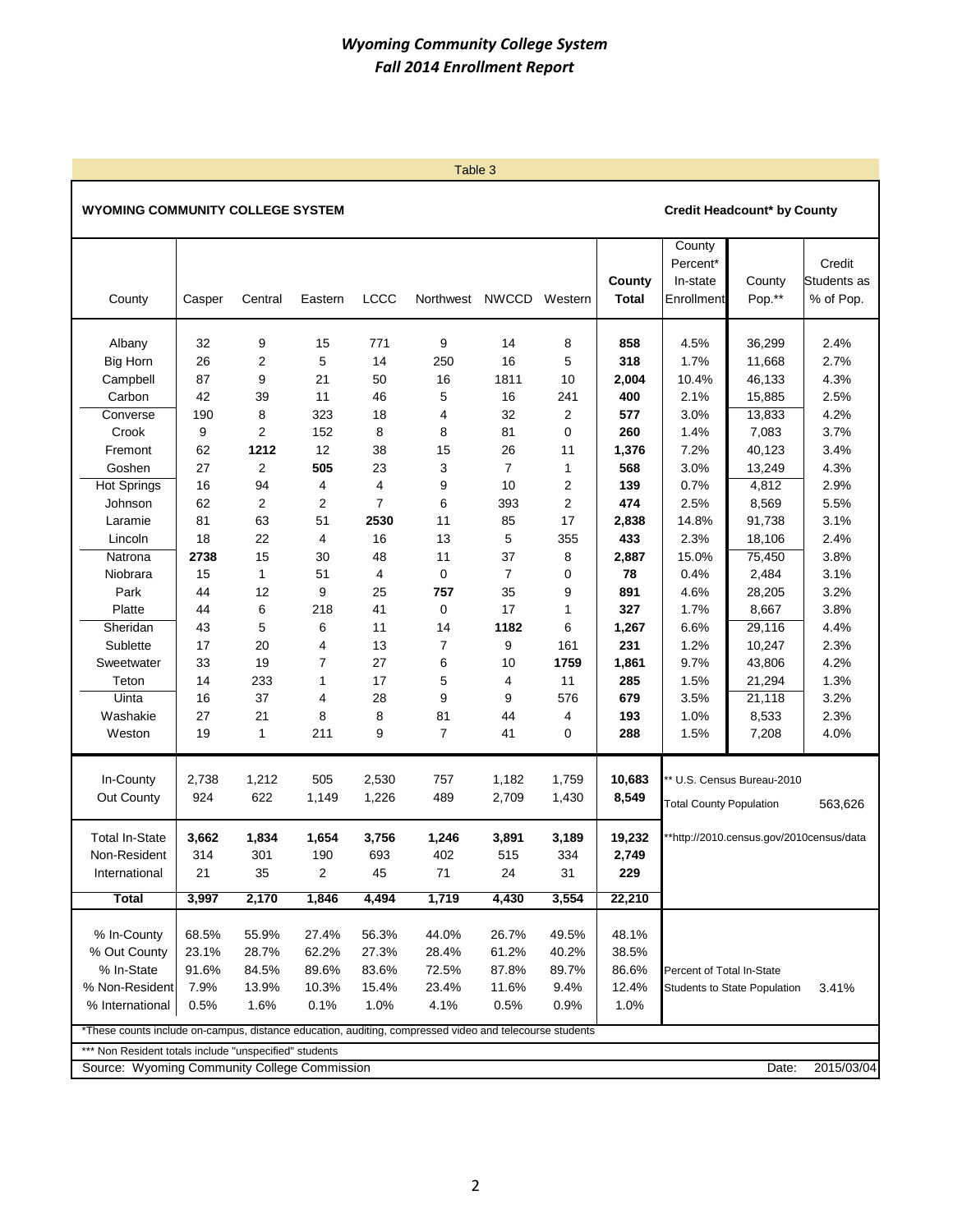Table 3

#### **WYOMING COMMUNITY COLLEGE SYSTEM Credit Headcount\* by County**

#### **County** Percent<sup>\*</sup> **Credit County** In-state County Students as County Casper Central Eastern LCCC Northwest NWCCD Western **Total** Enrollment Pop.\*\* % of Pop. Albany 32 9 15 771 9 14 8 **858** 4.5% 36,299 2.4% Big Horn 26 2 5 14 250 16 5 **318** 1.7% 11,668 2.7% Campbell 87 9 21 50 16 1811 10 **2,004** 10.4% 46,133 4.3% Carbon 42 39 11 46 5 16 241 **400** 2.1% 15,885 2.5% Converse 190 8 323 18 4 32 2 **577** 3.0% 13,833 4.2% Crook 9 2 152 8 8 81 0 **260** 1.4% 7,083 3.7% Fremont 62 **1212** 12 38 15 26 11 **1,376** 7.2% 40,123 3.4% Goshen 27 2 **505** 23 3 7 1 **568** 3.0% 13,249 4.3% Hot Springs 16 94 4 4 9 10 2 **139** 0.7% 4,812 2.9% Johnson 62 2 2 7 6 393 2 **474** 2.5% 8,569 5.5% Laramie 81 63 51 **2530** 11 85 17 **2,838** 14.8% 91,738 3.1% Lincoln 18 22 4 16 13 5 355 **433** 2.3% 18,106 2.4% Natrona **2738** 15 30 48 11 37 8 **2,887** 15.0% 75,450 3.8% Niobrara 15 1 51 4 0 7 0 **78** 0.4% 2,484 3.1% Park 44 12 9 25 **757** 35 9 **891** 4.6% 28,205 3.2% Platte 44 6 218 41 0 17 1 **327** 1.7% 8,667 3.8% Sheridan 43 5 6 11 14 **1182** 6 **1,267** 6.6% 29,116 4.4% Sublette 17 20 4 13 7 9 161 **231** 1.2% 10,247 2.3% Sweetwater 33 19 7 27 6 10 **1759 1,861** 9.7% 43,806 4.2% Teton 14 233 1 17 5 4 11 **285** 1.5% 21,294 1.3% Uinta 16 37 4 28 9 9 576 **679** 3.5% 21,118 3.2% Washakie 27 21 8 8 81 44 4 **193** 1.0% 8,533 2.3% Weston 19 1 211 9 7 41 0 **288** 1.5% 7,208 4.0% In-County 2,738 1,212 505 2,530 757 1,182 1,759 **10,683** \*\* U.S. Census Bureau-2010 Out County 924 622 1,149 1,226 489 2,709 1,430 **8,549** Total In-State **3,662 1,834 1,654 3,756 1,246 3,891 3,189 19,232** Non-Resident 314 301 190 693 402 515 334 **2,749** International 21 35 2 45 71 24 31 **229 Total 3,997 2,170 1,846 4,494 1,719 4,430 3,554 22,210** % In-County 68.5% 55.9% 27.4% 56.3% 44.0% 26.7% 49.5% 48.1% % Out County 23.1% 28.7% 62.2% 27.3% 28.4% 61.2% 40.2% 38.5% % In-State 91.6% 84.5% 89.6% 83.6% 72.5% 87.8% 89.7% 86.6% Percent of Total In-State % Non-Resident | 7.9% 13.9% 10.3% 15.4% 23.4% 11.6% 9.4% | 12.4% Students to State Population 3.41% % International 0.5% 1.6% 0.1% 1.0% 4.1% 0.5% 0.9% 1.0% \*These counts include on-campus, distance education, auditing, compressed video and telecourse students \*\*\* Non Resident totals include "unspecified" students Source: Wyoming Community College Commission Date: Now the Contract of Contract of Contract Date: Date: Total County Population 563,626 \*http://2010.census.gov/2010census/data 2015/03/04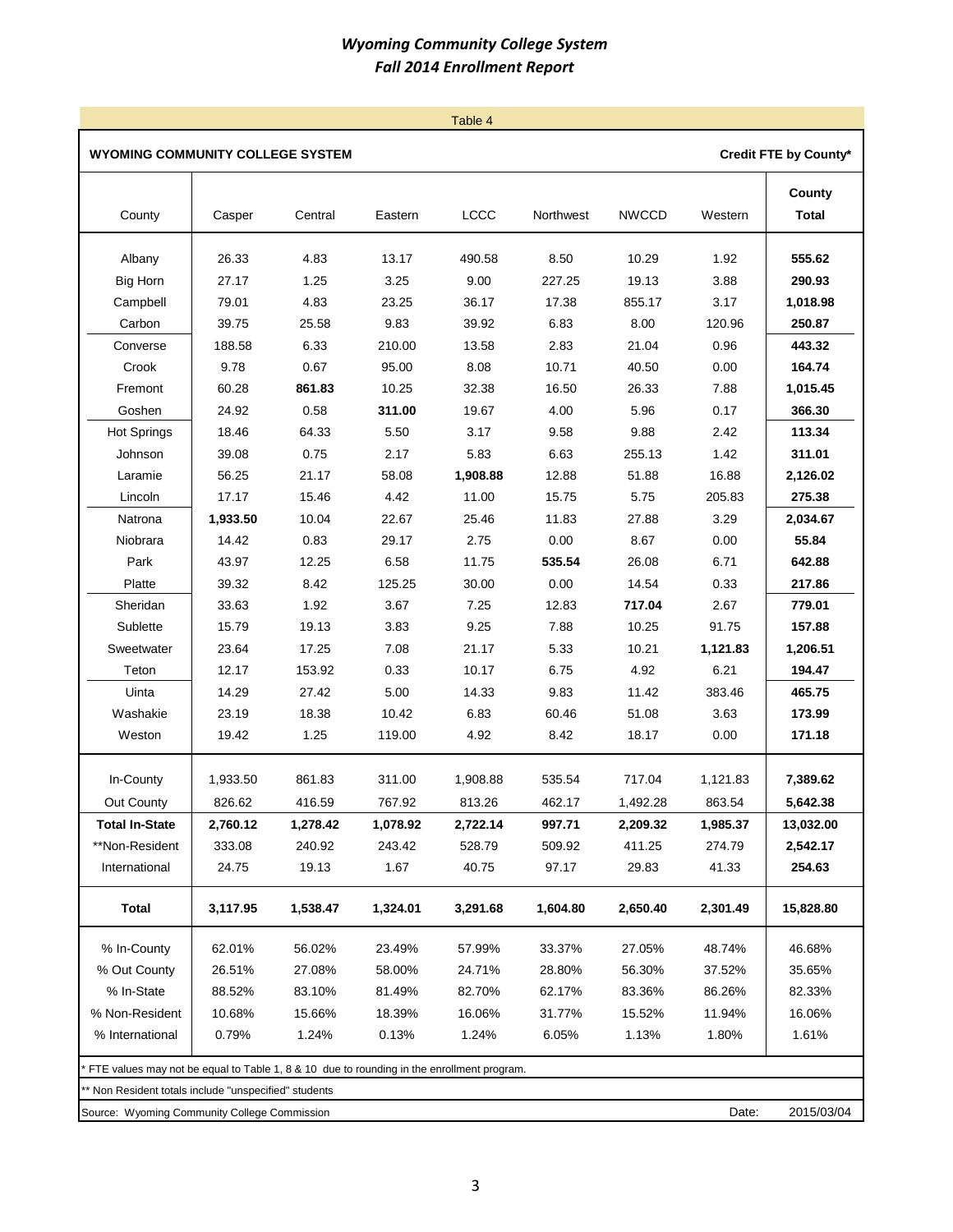|                                                                                           |          |          |          | Table 4     |           |              |          |                        |
|-------------------------------------------------------------------------------------------|----------|----------|----------|-------------|-----------|--------------|----------|------------------------|
| WYOMING COMMUNITY COLLEGE SYSTEM                                                          |          |          |          |             |           |              |          | Credit FTE by County*  |
| County                                                                                    | Casper   | Central  | Eastern  | <b>LCCC</b> | Northwest | <b>NWCCD</b> | Western  | County<br><b>Total</b> |
| Albany                                                                                    | 26.33    | 4.83     | 13.17    | 490.58      | 8.50      | 10.29        | 1.92     | 555.62                 |
| <b>Big Horn</b>                                                                           | 27.17    | 1.25     | 3.25     | 9.00        | 227.25    | 19.13        | 3.88     | 290.93                 |
| Campbell                                                                                  | 79.01    | 4.83     | 23.25    | 36.17       | 17.38     | 855.17       | 3.17     | 1,018.98               |
| Carbon                                                                                    | 39.75    | 25.58    | 9.83     | 39.92       | 6.83      | 8.00         | 120.96   | 250.87                 |
| Converse                                                                                  | 188.58   | 6.33     | 210.00   | 13.58       | 2.83      | 21.04        | 0.96     | 443.32                 |
| Crook                                                                                     | 9.78     | 0.67     | 95.00    | 8.08        | 10.71     | 40.50        | 0.00     | 164.74                 |
| Fremont                                                                                   | 60.28    | 861.83   | 10.25    | 32.38       | 16.50     | 26.33        | 7.88     | 1,015.45               |
| Goshen                                                                                    | 24.92    | 0.58     | 311.00   | 19.67       | 4.00      | 5.96         | 0.17     | 366.30                 |
| <b>Hot Springs</b>                                                                        | 18.46    | 64.33    | 5.50     | 3.17        | 9.58      | 9.88         | 2.42     | 113.34                 |
| Johnson                                                                                   | 39.08    | 0.75     | 2.17     | 5.83        | 6.63      | 255.13       | 1.42     | 311.01                 |
| Laramie                                                                                   | 56.25    | 21.17    | 58.08    | 1,908.88    | 12.88     | 51.88        | 16.88    | 2,126.02               |
| Lincoln                                                                                   | 17.17    | 15.46    | 4.42     | 11.00       | 15.75     | 5.75         | 205.83   | 275.38                 |
| Natrona                                                                                   | 1,933.50 | 10.04    | 22.67    | 25.46       | 11.83     | 27.88        | 3.29     | 2,034.67               |
| Niobrara                                                                                  | 14.42    | 0.83     | 29.17    | 2.75        | 0.00      | 8.67         | 0.00     | 55.84                  |
| Park                                                                                      | 43.97    | 12.25    | 6.58     | 11.75       | 535.54    | 26.08        | 6.71     | 642.88                 |
| Platte                                                                                    | 39.32    | 8.42     | 125.25   | 30.00       | 0.00      | 14.54        | 0.33     | 217.86                 |
| Sheridan                                                                                  | 33.63    | 1.92     | 3.67     | 7.25        | 12.83     | 717.04       | 2.67     | 779.01                 |
| Sublette                                                                                  | 15.79    | 19.13    | 3.83     | 9.25        | 7.88      | 10.25        | 91.75    | 157.88                 |
| Sweetwater                                                                                | 23.64    | 17.25    | 7.08     | 21.17       | 5.33      | 10.21        | 1,121.83 | 1,206.51               |
| Teton                                                                                     | 12.17    | 153.92   | 0.33     | 10.17       | 6.75      | 4.92         | 6.21     | 194.47                 |
| Uinta                                                                                     | 14.29    | 27.42    | 5.00     | 14.33       | 9.83      | 11.42        | 383.46   | 465.75                 |
| Washakie                                                                                  | 23.19    | 18.38    | 10.42    | 6.83        | 60.46     | 51.08        | 3.63     | 173.99                 |
| Weston                                                                                    | 19.42    | 1.25     | 119.00   | 4.92        | 8.42      | 18.17        | 0.00     | 171.18                 |
| In-County                                                                                 | 1,933.50 | 861.83   | 311.00   | 1,908.88    | 535.54    | 717.04       | 1,121.83 | 7,389.62               |
| Out County                                                                                | 826.62   | 416.59   | 767.92   | 813.26      | 462.17    | 1,492.28     | 863.54   | 5,642.38               |
| <b>Total In-State</b>                                                                     | 2,760.12 | 1,278.42 | 1,078.92 | 2,722.14    | 997.71    | 2,209.32     | 1,985.37 | 13,032.00              |
| **Non-Resident                                                                            | 333.08   | 240.92   | 243.42   | 528.79      | 509.92    | 411.25       | 274.79   | 2,542.17               |
| International                                                                             | 24.75    | 19.13    | 1.67     | 40.75       | 97.17     | 29.83        | 41.33    | 254.63                 |
| <b>Total</b>                                                                              | 3,117.95 | 1,538.47 | 1,324.01 | 3,291.68    | 1,604.80  | 2,650.40     | 2,301.49 | 15,828.80              |
| % In-County                                                                               | 62.01%   | 56.02%   | 23.49%   | 57.99%      | 33.37%    | 27.05%       | 48.74%   | 46.68%                 |
| % Out County                                                                              | 26.51%   | 27.08%   | 58.00%   | 24.71%      | 28.80%    | 56.30%       | 37.52%   | 35.65%                 |
| % In-State                                                                                | 88.52%   | 83.10%   | 81.49%   | 82.70%      | 62.17%    | 83.36%       | 86.26%   | 82.33%                 |
| % Non-Resident                                                                            | 10.68%   | 15.66%   | 18.39%   | 16.06%      | 31.77%    | 15.52%       | 11.94%   | 16.06%                 |
| % International                                                                           | 0.79%    | 1.24%    | 0.13%    | 1.24%       | 6.05%     | 1.13%        | 1.80%    | 1.61%                  |
| FTE values may not be equal to Table 1, 8 & 10 due to rounding in the enrollment program. |          |          |          |             |           |              |          |                        |
| * Non Resident totals include "unspecified" students                                      |          |          |          |             |           |              |          |                        |
| Source: Wyoming Community College Commission                                              |          |          |          |             |           |              | Date:    | 2015/03/04             |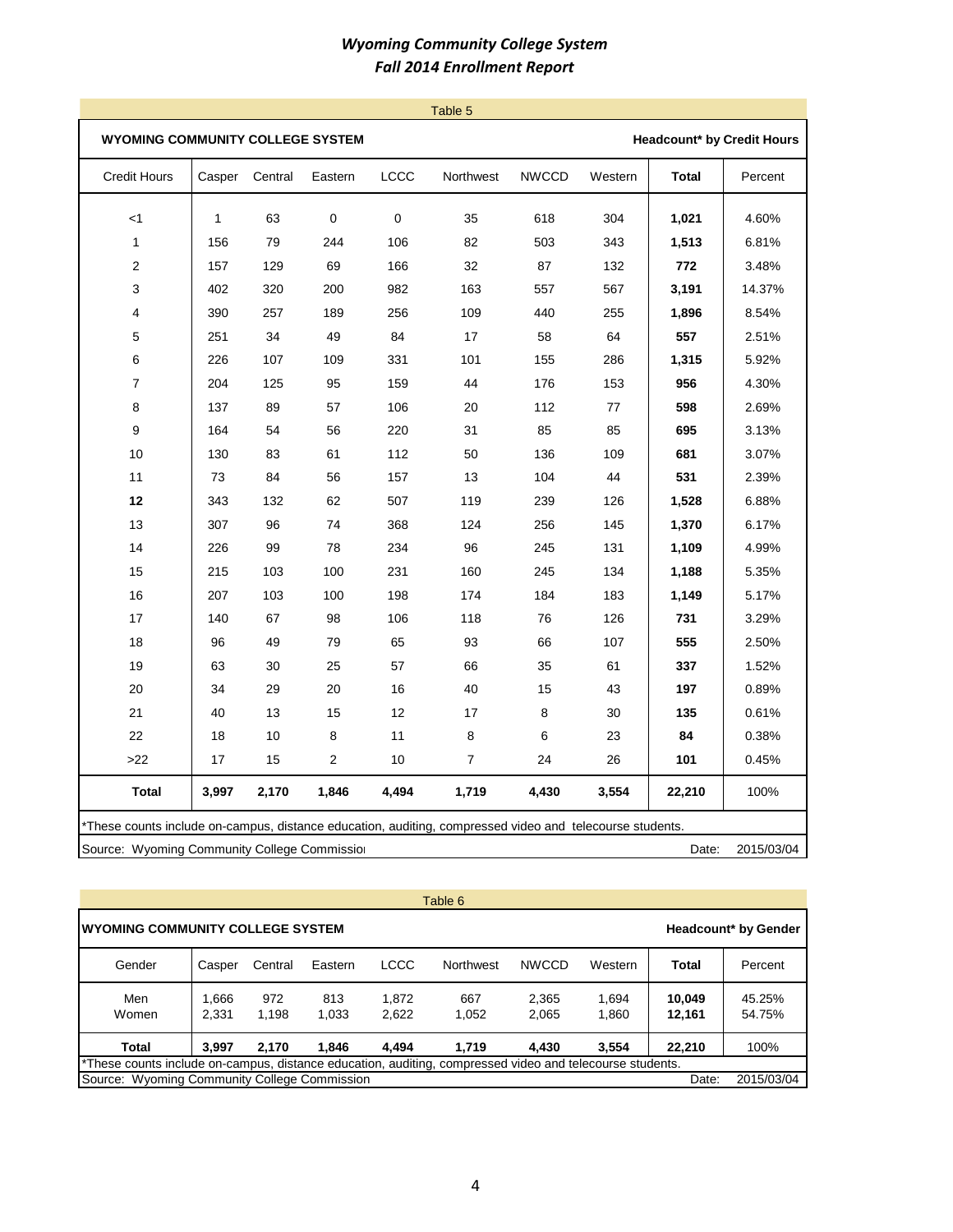|                                                                                                          |              |         |             |           | Table 5        |              |         |              |                            |
|----------------------------------------------------------------------------------------------------------|--------------|---------|-------------|-----------|----------------|--------------|---------|--------------|----------------------------|
| WYOMING COMMUNITY COLLEGE SYSTEM                                                                         |              |         |             |           |                |              |         |              | Headcount* by Credit Hours |
| Credit Hours                                                                                             | Casper       | Central | Eastern     | LCCC      | Northwest      | <b>NWCCD</b> | Western | <b>Total</b> | Percent                    |
| < 1                                                                                                      | $\mathbf{1}$ | 63      | $\mathbf 0$ | $\pmb{0}$ | 35             | 618          | 304     | 1,021        | 4.60%                      |
| $\mathbf{1}$                                                                                             | 156          | 79      | 244         | 106       | 82             | 503          | 343     | 1,513        | 6.81%                      |
| 2                                                                                                        | 157          | 129     | 69          | 166       | 32             | 87           | 132     | 772          | 3.48%                      |
| 3                                                                                                        | 402          | 320     | 200         | 982       | 163            | 557          | 567     | 3,191        | 14.37%                     |
| 4                                                                                                        | 390          | 257     | 189         | 256       | 109            | 440          | 255     | 1,896        | 8.54%                      |
| 5                                                                                                        | 251          | 34      | 49          | 84        | 17             | 58           | 64      | 557          | 2.51%                      |
| 6                                                                                                        | 226          | 107     | 109         | 331       | 101            | 155          | 286     | 1,315        | 5.92%                      |
| 7                                                                                                        | 204          | 125     | 95          | 159       | 44             | 176          | 153     | 956          | 4.30%                      |
| 8                                                                                                        | 137          | 89      | 57          | 106       | 20             | 112          | 77      | 598          | 2.69%                      |
| 9                                                                                                        | 164          | 54      | 56          | 220       | 31             | 85           | 85      | 695          | 3.13%                      |
| $10$                                                                                                     | 130          | 83      | 61          | 112       | 50             | 136          | 109     | 681          | 3.07%                      |
| 11                                                                                                       | 73           | 84      | 56          | 157       | 13             | 104          | 44      | 531          | 2.39%                      |
| 12                                                                                                       | 343          | 132     | 62          | 507       | 119            | 239          | 126     | 1,528        | 6.88%                      |
| 13                                                                                                       | 307          | 96      | 74          | 368       | 124            | 256          | 145     | 1,370        | 6.17%                      |
| 14                                                                                                       | 226          | 99      | 78          | 234       | 96             | 245          | 131     | 1,109        | 4.99%                      |
| 15                                                                                                       | 215          | 103     | 100         | 231       | 160            | 245          | 134     | 1,188        | 5.35%                      |
| 16                                                                                                       | 207          | 103     | 100         | 198       | 174            | 184          | 183     | 1,149        | 5.17%                      |
| 17                                                                                                       | 140          | 67      | 98          | 106       | 118            | 76           | 126     | 731          | 3.29%                      |
| 18                                                                                                       | 96           | 49      | 79          | 65        | 93             | 66           | 107     | 555          | 2.50%                      |
| 19                                                                                                       | 63           | 30      | 25          | 57        | 66             | 35           | 61      | 337          | 1.52%                      |
| $20\,$                                                                                                   | 34           | 29      | 20          | 16        | 40             | 15           | 43      | 197          | 0.89%                      |
| 21                                                                                                       | 40           | 13      | 15          | 12        | 17             | 8            | 30      | 135          | 0.61%                      |
| 22                                                                                                       | 18           | 10      | 8           | 11        | 8              | 6            | 23      | 84           | 0.38%                      |
| $>22$                                                                                                    | 17           | 15      | 2           | 10        | $\overline{7}$ | 24           | 26      | 101          | 0.45%                      |
| <b>Total</b>                                                                                             | 3,997        | 2,170   | 1,846       | 4,494     | 1,719          | 4,430        | 3,554   | 22,210       | 100%                       |
| *These counts include on-campus, distance education, auditing, compressed video and telecourse students. |              |         |             |           |                |              |         |              |                            |
| Source: Wyoming Community College Commissio                                                              |              |         |             |           |                |              |         | Date:        | 2015/03/04                 |

| Table 6                                                                                                  |                |              |              |                |                  |                |                |                  |                  |  |  |  |  |
|----------------------------------------------------------------------------------------------------------|----------------|--------------|--------------|----------------|------------------|----------------|----------------|------------------|------------------|--|--|--|--|
| IWYOMING COMMUNITY COLLEGE SYSTEM<br><b>Headcount* by Gender</b>                                         |                |              |              |                |                  |                |                |                  |                  |  |  |  |  |
| Gender                                                                                                   | Casper         | Central      | Eastern      | <b>LCCC</b>    | <b>Northwest</b> | <b>NWCCD</b>   | Western        | Total            | Percent          |  |  |  |  |
| Men<br>Women                                                                                             | 1,666<br>2.331 | 972<br>1.198 | 813<br>1.033 | 1.872<br>2,622 | 667<br>1,052     | 2,365<br>2,065 | 1,694<br>1,860 | 10,049<br>12,161 | 45.25%<br>54.75% |  |  |  |  |
| Total                                                                                                    | 3.997          | 2.170        | 1.846        | 4.494          | 1.719            | 4.430          | 3,554          | 22,210           | 100%             |  |  |  |  |
| *These counts include on-campus, distance education, auditing, compressed video and telecourse students. |                |              |              |                |                  |                |                |                  |                  |  |  |  |  |
| Source: Wyoming Community College Commission                                                             |                |              |              |                |                  |                |                | Date:            | 2015/03/04       |  |  |  |  |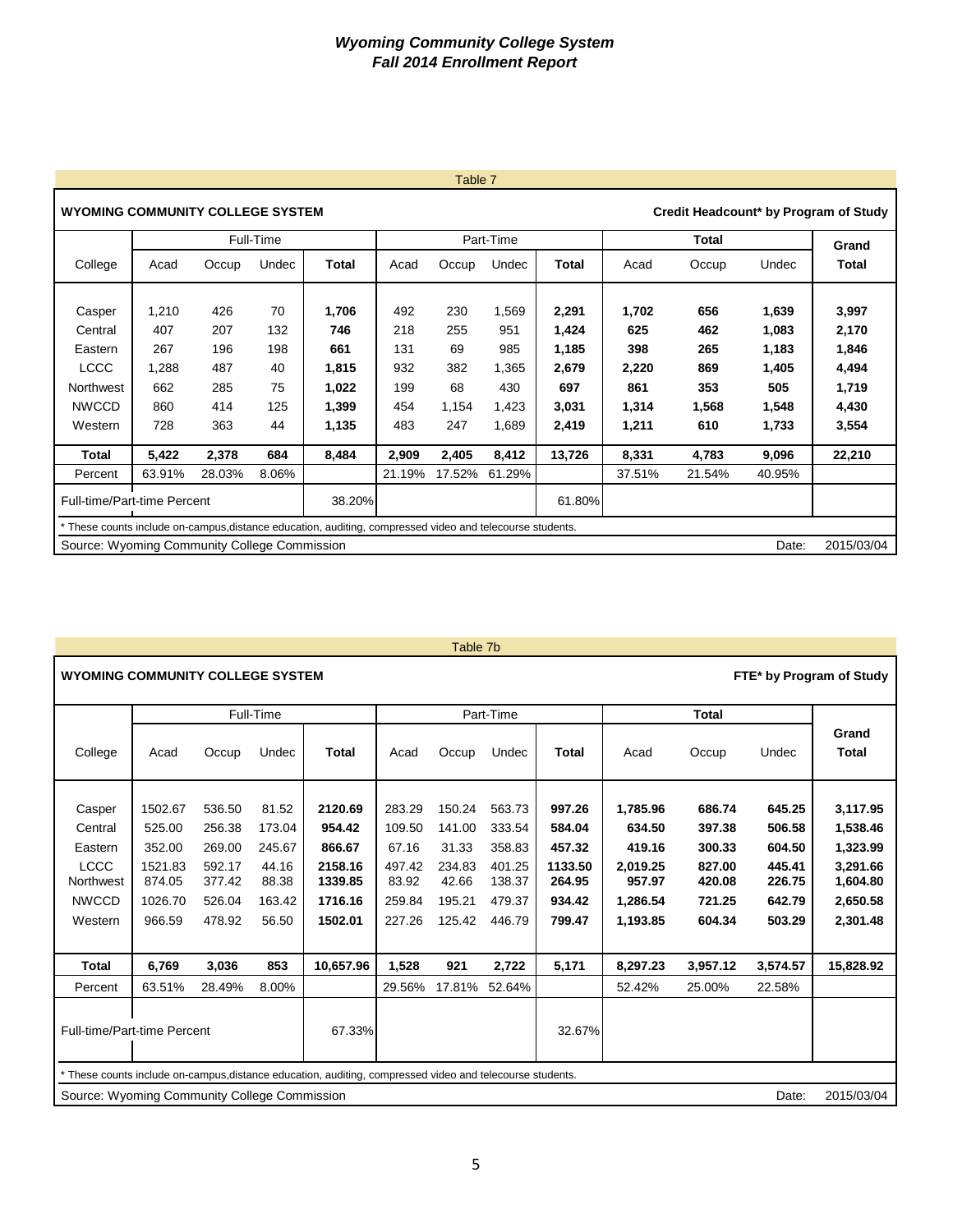|                                                                                                           |        |        |           |              |        | $I$ dult $I$ |           |              |        |        |        |                                       |
|-----------------------------------------------------------------------------------------------------------|--------|--------|-----------|--------------|--------|--------------|-----------|--------------|--------|--------|--------|---------------------------------------|
| <b>WYOMING COMMUNITY COLLEGE SYSTEM</b>                                                                   |        |        |           |              |        |              |           |              |        |        |        | Credit Headcount* by Program of Study |
|                                                                                                           |        |        | Full-Time |              |        |              | Part-Time |              |        |        | Grand  |                                       |
| College                                                                                                   | Acad   | Occup  | Undec     | <b>Total</b> | Acad   | Occup        | Undec     | <b>Total</b> | Acad   | Occup  | Undec  | Total                                 |
|                                                                                                           |        |        |           |              |        |              |           |              |        |        |        |                                       |
| Casper                                                                                                    | 1,210  | 426    | 70        | 1,706        | 492    | 230          | 1,569     | 2,291        | 1,702  | 656    | 1,639  | 3,997                                 |
| Central                                                                                                   | 407    | 207    | 132       | 746          | 218    | 255          | 951       | 1,424        | 625    | 462    | 1,083  | 2,170                                 |
| Eastern                                                                                                   | 267    | 196    | 198       | 661          | 131    | 69           | 985       | 1,185        | 398    | 265    | 1,183  | 1,846                                 |
| <b>LCCC</b>                                                                                               | 1,288  | 487    | 40        | 1,815        | 932    | 382          | 1,365     | 2,679        | 2,220  | 869    | 1,405  | 4,494                                 |
| Northwest                                                                                                 | 662    | 285    | 75        | 1,022        | 199    | 68           | 430       | 697          | 861    | 353    | 505    | 1,719                                 |
| <b>NWCCD</b>                                                                                              | 860    | 414    | 125       | 1,399        | 454    | 1,154        | 1,423     | 3,031        | 1,314  | 1,568  | 1,548  | 4,430                                 |
| Western                                                                                                   | 728    | 363    | 44        | 1,135        | 483    | 247          | 1,689     | 2,419        | 1,211  | 610    | 1,733  | 3,554                                 |
| Total                                                                                                     | 5,422  | 2,378  | 684       | 8,484        | 2,909  | 2,405        | 8,412     | 13,726       | 8,331  | 4,783  | 9,096  | 22,210                                |
| Percent                                                                                                   | 63.91% | 28.03% | 8.06%     |              | 21.19% | 17.52%       | 61.29%    |              | 37.51% | 21.54% | 40.95% |                                       |
| Full-time/Part-time Percent                                                                               |        |        |           | 38.20%       |        |              |           | 61.80%       |        |        |        |                                       |
| * These counts include on-campus, distance education, auditing, compressed video and telecourse students. |        |        |           |              |        |              |           |              |        |        |        |                                       |
| Source: Wyoming Community College Commission                                                              |        |        |           |              |        |              |           |              |        |        | Date:  | 2015/03/04                            |

#### Table 7b

| <b>WYOMING COMMUNITY COLLEGE SYSTEM</b>                                             |                                                                       |                                                                    |                                                                |                                                                                                           |                                                                  |                                                                  |                                                                    |                                                                     |                                                                            |                                                                    |                                                                    | FTE* by Program of Study                                                         |
|-------------------------------------------------------------------------------------|-----------------------------------------------------------------------|--------------------------------------------------------------------|----------------------------------------------------------------|-----------------------------------------------------------------------------------------------------------|------------------------------------------------------------------|------------------------------------------------------------------|--------------------------------------------------------------------|---------------------------------------------------------------------|----------------------------------------------------------------------------|--------------------------------------------------------------------|--------------------------------------------------------------------|----------------------------------------------------------------------------------|
|                                                                                     |                                                                       |                                                                    | Full-Time                                                      |                                                                                                           |                                                                  |                                                                  | Part-Time                                                          |                                                                     |                                                                            | <b>Total</b>                                                       |                                                                    |                                                                                  |
| College                                                                             | Acad                                                                  | Occup                                                              | Undec                                                          | <b>Total</b>                                                                                              | Acad                                                             | Occup                                                            | Undec                                                              | <b>Total</b>                                                        | Acad                                                                       | Occup                                                              | Undec                                                              | Grand<br>Total                                                                   |
| Casper<br>Central<br>Eastern<br><b>LCCC</b><br>Northwest<br><b>NWCCD</b><br>Western | 1502.67<br>525.00<br>352.00<br>1521.83<br>874.05<br>1026.70<br>966.59 | 536.50<br>256.38<br>269.00<br>592.17<br>377.42<br>526.04<br>478.92 | 81.52<br>173.04<br>245.67<br>44.16<br>88.38<br>163.42<br>56.50 | 2120.69<br>954.42<br>866.67<br>2158.16<br>1339.85<br>1716.16<br>1502.01                                   | 283.29<br>109.50<br>67.16<br>497.42<br>83.92<br>259.84<br>227.26 | 150.24<br>141.00<br>31.33<br>234.83<br>42.66<br>195.21<br>125.42 | 563.73<br>333.54<br>358.83<br>401.25<br>138.37<br>479.37<br>446.79 | 997.26<br>584.04<br>457.32<br>1133.50<br>264.95<br>934.42<br>799.47 | 1,785.96<br>634.50<br>419.16<br>2,019.25<br>957.97<br>1,286.54<br>1,193.85 | 686.74<br>397.38<br>300.33<br>827.00<br>420.08<br>721.25<br>604.34 | 645.25<br>506.58<br>604.50<br>445.41<br>226.75<br>642.79<br>503.29 | 3,117.95<br>1,538.46<br>1,323.99<br>3,291.66<br>1,604.80<br>2,650.58<br>2,301.48 |
| <b>Total</b>                                                                        | 6,769                                                                 | 3,036                                                              | 853                                                            | 10.657.96                                                                                                 | 1,528                                                            | 921                                                              | 2,722                                                              | 5,171                                                               | 8,297.23                                                                   | 3,957.12                                                           | 3,574.57                                                           | 15,828.92                                                                        |
| Percent                                                                             | 63.51%                                                                | 28.49%                                                             | 8.00%                                                          |                                                                                                           | 29.56%                                                           | 17.81%                                                           | 52.64%                                                             |                                                                     | 52.42%                                                                     | 25.00%                                                             | 22.58%                                                             |                                                                                  |
| Full-time/Part-time Percent                                                         |                                                                       |                                                                    |                                                                | 67.33%                                                                                                    |                                                                  |                                                                  |                                                                    | 32.67%                                                              |                                                                            |                                                                    |                                                                    |                                                                                  |
|                                                                                     |                                                                       |                                                                    |                                                                | * These counts include on-campus, distance education, auditing, compressed video and telecourse students. |                                                                  |                                                                  |                                                                    |                                                                     |                                                                            |                                                                    |                                                                    |                                                                                  |
| Source: Wyoming Community College Commission                                        |                                                                       |                                                                    |                                                                |                                                                                                           |                                                                  |                                                                  |                                                                    |                                                                     |                                                                            |                                                                    | Date:                                                              | 2015/03/04                                                                       |

## Table 7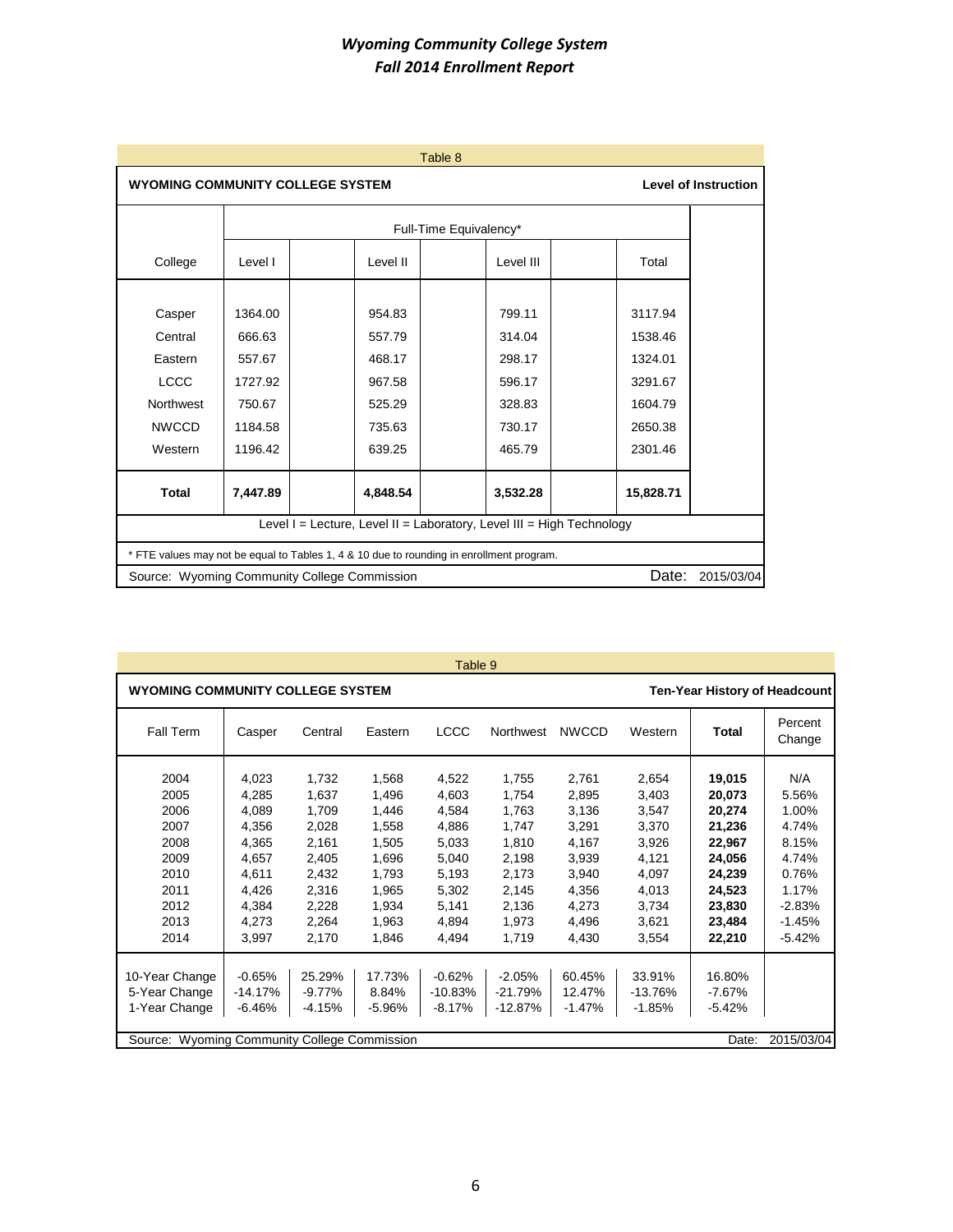|                  |                                                                        | Table 8                                                                                  |                                                                       |           |            |  |  |  |  |  |  |  |
|------------------|------------------------------------------------------------------------|------------------------------------------------------------------------------------------|-----------------------------------------------------------------------|-----------|------------|--|--|--|--|--|--|--|
|                  | <b>Level of Instruction</b><br><b>WYOMING COMMUNITY COLLEGE SYSTEM</b> |                                                                                          |                                                                       |           |            |  |  |  |  |  |  |  |
|                  |                                                                        |                                                                                          | Full-Time Equivalency*                                                |           |            |  |  |  |  |  |  |  |
| College          | Level I                                                                | Level II                                                                                 | Level III                                                             | Total     |            |  |  |  |  |  |  |  |
|                  |                                                                        |                                                                                          |                                                                       |           |            |  |  |  |  |  |  |  |
| Casper           | 1364.00                                                                | 954.83                                                                                   | 799.11                                                                | 3117.94   |            |  |  |  |  |  |  |  |
| Central          | 666.63                                                                 | 557.79                                                                                   | 314.04                                                                | 1538.46   |            |  |  |  |  |  |  |  |
| Eastern          | 557.67                                                                 | 468.17                                                                                   | 298.17                                                                | 1324.01   |            |  |  |  |  |  |  |  |
| <b>LCCC</b>      | 1727.92                                                                | 967.58                                                                                   | 596.17                                                                | 3291.67   |            |  |  |  |  |  |  |  |
| <b>Northwest</b> | 750.67                                                                 | 525.29                                                                                   | 328.83                                                                | 1604.79   |            |  |  |  |  |  |  |  |
| <b>NWCCD</b>     | 1184.58                                                                | 735.63                                                                                   | 730.17                                                                | 2650.38   |            |  |  |  |  |  |  |  |
| Western          | 1196.42                                                                | 639.25                                                                                   | 465.79                                                                | 2301.46   |            |  |  |  |  |  |  |  |
| <b>Total</b>     | 7,447.89                                                               | 4.848.54                                                                                 | 3,532.28                                                              | 15,828.71 |            |  |  |  |  |  |  |  |
|                  |                                                                        |                                                                                          | Level I = Lecture, Level II = Laboratory, Level III = High Technology |           |            |  |  |  |  |  |  |  |
|                  |                                                                        | * FTE values may not be equal to Tables 1, 4 & 10 due to rounding in enrollment program. |                                                                       |           |            |  |  |  |  |  |  |  |
|                  | Source: Wyoming Community College Commission                           |                                                                                          |                                                                       | Date:     | 2015/03/04 |  |  |  |  |  |  |  |

| <b>WYOMING COMMUNITY COLLEGE SYSTEM</b><br><b>LCCC</b><br>Fall Term<br>Eastern<br>Casper<br>Central<br>2004<br>4,023<br>1,732<br>1,568<br>4,522<br>2005<br>4,285<br>1,637<br>1,496<br>4,603<br>2006<br>4,089<br>1,709<br>4,584<br>1,446<br>2007<br>4,356<br>4,886<br>2,028<br>1,558<br>2008<br>4,365<br>2,161<br>5,033<br>1,505<br>2009<br>5,040<br>4,657<br>2,405<br>1,696<br>2010<br>4,611<br>5,193<br>2,432<br>1,793<br>2011<br>5,302<br>4,426<br>2,316<br>1,965 | <b>Northwest</b>                                                                                | <b>NWCCD</b>                                                                                    | Western                                                                                         | <b>Ten-Year History of Headcount</b><br>Total                                                              | Percent                                                                                                |
|---------------------------------------------------------------------------------------------------------------------------------------------------------------------------------------------------------------------------------------------------------------------------------------------------------------------------------------------------------------------------------------------------------------------------------------------------------------------|-------------------------------------------------------------------------------------------------|-------------------------------------------------------------------------------------------------|-------------------------------------------------------------------------------------------------|------------------------------------------------------------------------------------------------------------|--------------------------------------------------------------------------------------------------------|
|                                                                                                                                                                                                                                                                                                                                                                                                                                                                     |                                                                                                 |                                                                                                 |                                                                                                 |                                                                                                            |                                                                                                        |
|                                                                                                                                                                                                                                                                                                                                                                                                                                                                     |                                                                                                 |                                                                                                 |                                                                                                 |                                                                                                            | Change                                                                                                 |
| 2012<br>4,384<br>2,228<br>1,934<br>5,141<br>2013<br>4,273<br>2,264<br>1,963<br>4,894<br>2014<br>3,997<br>2,170<br>4,494<br>1,846                                                                                                                                                                                                                                                                                                                                    | 1,755<br>1,754<br>1,763<br>1,747<br>1,810<br>2,198<br>2,173<br>2,145<br>2,136<br>1,973<br>1,719 | 2,761<br>2,895<br>3,136<br>3,291<br>4,167<br>3,939<br>3,940<br>4,356<br>4,273<br>4,496<br>4,430 | 2,654<br>3,403<br>3,547<br>3,370<br>3,926<br>4,121<br>4,097<br>4,013<br>3,734<br>3,621<br>3,554 | 19,015<br>20,073<br>20,274<br>21,236<br>22,967<br>24,056<br>24,239<br>24,523<br>23,830<br>23,484<br>22,210 | N/A<br>5.56%<br>1.00%<br>4.74%<br>8.15%<br>4.74%<br>0.76%<br>1.17%<br>$-2.83%$<br>$-1.45%$<br>$-5.42%$ |
| 25.29%<br>17.73%<br>$-0.62%$<br>10-Year Change<br>$-0.65%$<br>5-Year Change<br>$-14.17%$<br>$-9.77%$<br>8.84%<br>$-10.83%$<br>1-Year Change<br>$-4.15%$<br>$-8.17%$<br>-6.46%<br>$-5.96%$<br>Source: Wyoming Community College Commission                                                                                                                                                                                                                           | $-2.05%$<br>$-21.79%$<br>$-12.87%$                                                              | 60.45%<br>12.47%<br>$-1.47%$                                                                    | 33.91%<br>$-13.76%$<br>$-1.85%$                                                                 | 16.80%<br>$-7.67%$<br>$-5.42%$<br>Date:                                                                    | 2015/03/04                                                                                             |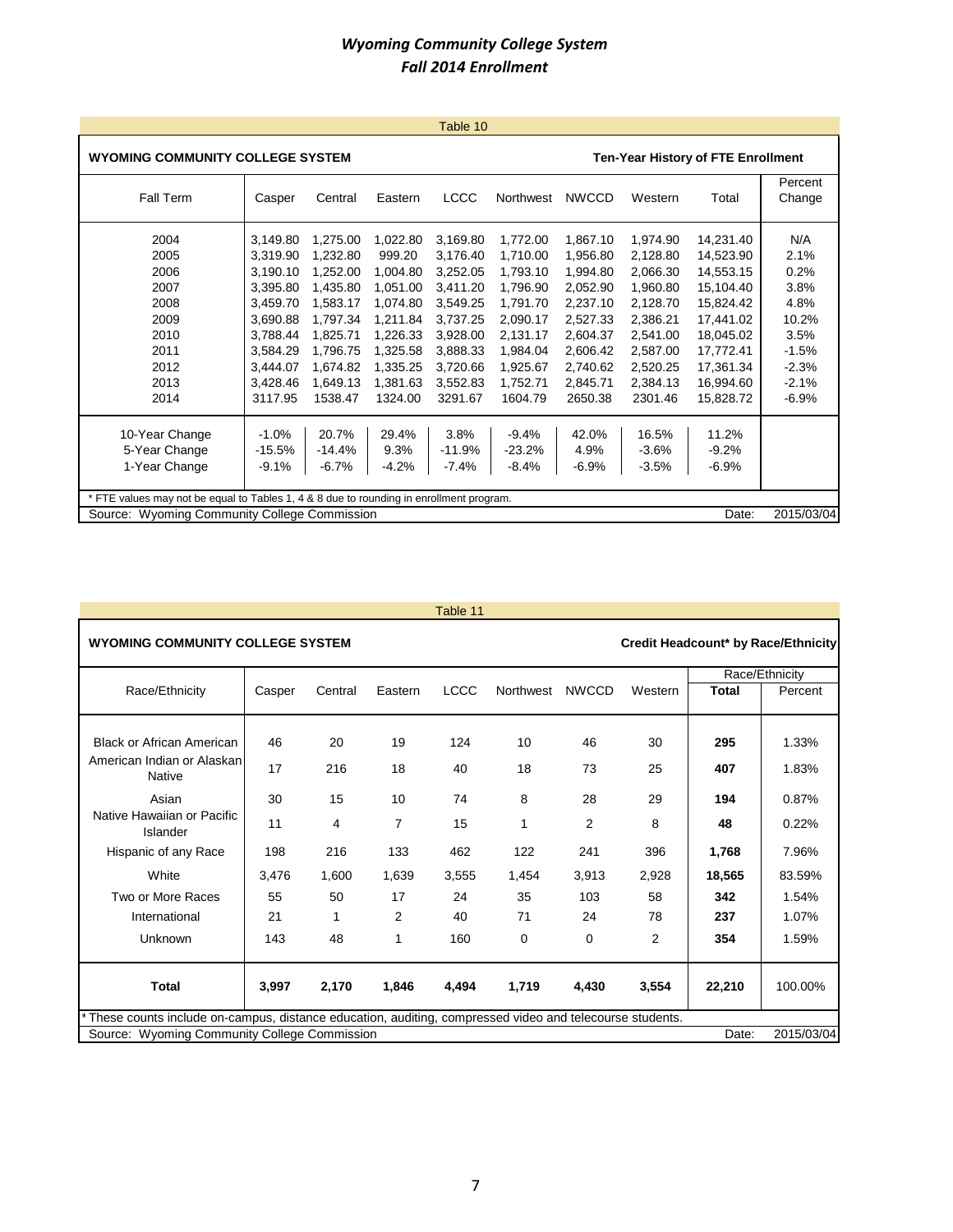|                                                                                         |                                                                               |          |          | Table 10    |           |              |          |           |                   |  |  |  |  |
|-----------------------------------------------------------------------------------------|-------------------------------------------------------------------------------|----------|----------|-------------|-----------|--------------|----------|-----------|-------------------|--|--|--|--|
|                                                                                         | WYOMING COMMUNITY COLLEGE SYSTEM<br><b>Ten-Year History of FTE Enrollment</b> |          |          |             |           |              |          |           |                   |  |  |  |  |
| Fall Term                                                                               | Casper                                                                        | Central  | Eastern  | <b>LCCC</b> | Northwest | <b>NWCCD</b> | Western  | Total     | Percent<br>Change |  |  |  |  |
| 2004                                                                                    | 3,149.80                                                                      | 1,275.00 | 1,022.80 | 3,169.80    | 1,772.00  | 1,867.10     | 1,974.90 | 14,231.40 | N/A               |  |  |  |  |
| 2005                                                                                    | 3,319.90                                                                      | 1,232.80 | 999.20   | 3.176.40    | 1,710.00  | 1.956.80     | 2,128.80 | 14,523.90 | 2.1%              |  |  |  |  |
| 2006                                                                                    | 3,190.10                                                                      | 1,252.00 | 1,004.80 | 3,252.05    | 1,793.10  | 1,994.80     | 2,066.30 | 14,553.15 | 0.2%              |  |  |  |  |
| 2007                                                                                    | 3,395.80                                                                      | 1,435.80 | 1,051.00 | 3,411.20    | 1,796.90  | 2,052.90     | 1,960.80 | 15,104.40 | 3.8%              |  |  |  |  |
| 2008                                                                                    | 3,459.70                                                                      | 1,583.17 | 1,074.80 | 3.549.25    | 1,791.70  | 2,237.10     | 2,128.70 | 15,824.42 | 4.8%              |  |  |  |  |
| 2009                                                                                    | 3,690.88                                                                      | 1,797.34 | 1,211.84 | 3.737.25    | 2,090.17  | 2,527.33     | 2,386.21 | 17,441.02 | 10.2%             |  |  |  |  |
| 2010                                                                                    | 3,788.44                                                                      | 1,825.71 | 1,226.33 | 3,928.00    | 2,131.17  | 2,604.37     | 2,541.00 | 18,045.02 | 3.5%              |  |  |  |  |
| 2011                                                                                    | 3,584.29                                                                      | 1,796.75 | 1,325.58 | 3,888.33    | 1,984.04  | 2,606.42     | 2,587.00 | 17,772.41 | $-1.5%$           |  |  |  |  |
| 2012                                                                                    | 3,444.07                                                                      | 1.674.82 | 1,335.25 | 3,720.66    | 1,925.67  | 2,740.62     | 2,520.25 | 17,361.34 | $-2.3%$           |  |  |  |  |
| 2013                                                                                    | 3,428.46                                                                      | 1,649.13 | 1,381.63 | 3,552.83    | 1,752.71  | 2,845.71     | 2,384.13 | 16,994.60 | $-2.1%$           |  |  |  |  |
| 2014                                                                                    | 3117.95                                                                       | 1538.47  | 1324.00  | 3291.67     | 1604.79   | 2650.38      | 2301.46  | 15,828.72 | $-6.9%$           |  |  |  |  |
| 10-Year Change                                                                          | $-1.0%$                                                                       | 20.7%    | 29.4%    | 3.8%        | $-9.4%$   | 42.0%        | 16.5%    | 11.2%     |                   |  |  |  |  |
| 5-Year Change                                                                           | $-15.5%$                                                                      | $-14.4%$ | 9.3%     | $-11.9%$    | $-23.2%$  | 4.9%         | $-3.6%$  | $-9.2%$   |                   |  |  |  |  |
| 1-Year Change                                                                           | $-9.1%$                                                                       | $-6.7%$  | $-4.2%$  | $-7.4%$     | $-8.4%$   | $-6.9%$      | $-3.5%$  | $-6.9%$   |                   |  |  |  |  |
| * FTE values may not be equal to Tables 1, 4 & 8 due to rounding in enrollment program. |                                                                               |          |          |             |           |              |          |           |                   |  |  |  |  |
| Source: Wyoming Community College Commission                                            |                                                                               |          |          |             |           |              |          | Date:     | 2015/03/04        |  |  |  |  |

|                                                                                                         |        |         |                | Table 11    |           |                |                |              |                                     |
|---------------------------------------------------------------------------------------------------------|--------|---------|----------------|-------------|-----------|----------------|----------------|--------------|-------------------------------------|
| <b>WYOMING COMMUNITY COLLEGE SYSTEM</b>                                                                 |        |         |                |             |           |                |                |              | Credit Headcount* by Race/Ethnicity |
|                                                                                                         |        |         |                |             |           |                |                |              | Race/Ethnicity                      |
| Race/Ethnicity                                                                                          | Casper | Central | Eastern        | <b>LCCC</b> | Northwest | <b>NWCCD</b>   | Western        | <b>Total</b> | Percent                             |
| <b>Black or African American</b>                                                                        | 46     | 20      | 19             | 124         | 10        | 46             | 30             | 295          | 1.33%                               |
| American Indian or Alaskan<br>Native                                                                    | 17     | 216     | 18             | 40          | 18        | 73             | 25             | 407          | 1.83%                               |
| Asian                                                                                                   | 30     | 15      | 10             | 74          | 8         | 28             | 29             | 194          | 0.87%                               |
| Native Hawaiian or Pacific<br>Islander                                                                  | 11     | 4       | $\overline{7}$ | 15          | 1         | $\overline{2}$ | 8              | 48           | 0.22%                               |
| Hispanic of any Race                                                                                    | 198    | 216     | 133            | 462         | 122       | 241            | 396            | 1,768        | 7.96%                               |
| White                                                                                                   | 3,476  | 1,600   | 1,639          | 3,555       | 1,454     | 3,913          | 2,928          | 18,565       | 83.59%                              |
| Two or More Races                                                                                       | 55     | 50      | 17             | 24          | 35        | 103            | 58             | 342          | 1.54%                               |
| International                                                                                           | 21     | 1       | 2              | 40          | 71        | 24             | 78             | 237          | 1.07%                               |
| Unknown                                                                                                 | 143    | 48      | 1              | 160         | 0         | $\mathbf 0$    | $\overline{2}$ | 354          | 1.59%                               |
| <b>Total</b>                                                                                            | 3,997  | 2,170   | 1.846          | 4,494       | 1,719     | 4,430          | 3,554          | 22,210       | 100.00%                             |
| These counts include on-campus, distance education, auditing, compressed video and telecourse students. |        |         |                |             |           |                |                |              |                                     |
| Source: Wyoming Community College Commission                                                            |        |         |                |             |           |                |                | Date:        | 2015/03/04                          |

7